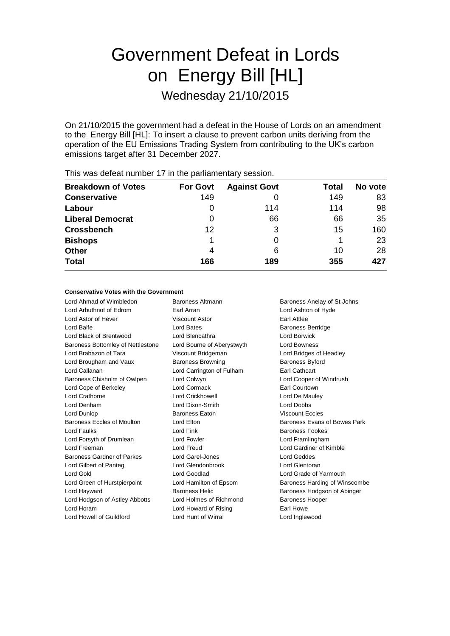# Government Defeat in Lords on Energy Bill [HL] Wednesday 21/10/2015

On 21/10/2015 the government had a defeat in the House of Lords on an amendment to the Energy Bill [HL]: To insert a clause to prevent carbon units deriving from the operation of the EU Emissions Trading System from contributing to the UK's carbon emissions target after 31 December 2027.

|                           |                 | -                   |       |         |
|---------------------------|-----------------|---------------------|-------|---------|
| <b>Breakdown of Votes</b> | <b>For Govt</b> | <b>Against Govt</b> | Total | No vote |
| <b>Conservative</b>       | 149             |                     | 149   | 83      |
| Labour                    | 0               | 114                 | 114   | 98      |
| <b>Liberal Democrat</b>   | 0               | 66                  | 66    | 35      |
| <b>Crossbench</b>         | 12              | 3                   | 15    | 160     |
| <b>Bishops</b>            |                 |                     |       | 23      |
| <b>Other</b>              | 4               | 6                   | 10    | 28      |
| <b>Total</b>              | 166             | 189                 | 355   | 427     |
|                           |                 |                     |       |         |

This was defeat number 17 in the parliamentary session.

### **Conservative Votes with the Government**

Lord Ahmad of Wimbledon Baroness Altmann Baroness Anelay of St Johns Lord Arbuthnot of Edrom Earl Arran Lord Ashton of Hyde Lord Astor of Hever Viscount Astor Earl Attlee Lord Balfe **Lord Bates Lord Bates Constanting Baroness Berridge** Lord Black of Brentwood Lord Blencathra Lord Borwick Baroness Bottomley of Nettlestone Lord Bourne of Aberystwyth Lord Bowness Lord Brabazon of Tara Viscount Bridgeman Lord Bridges of Headley Lord Brougham and Vaux Baroness Browning Baroness Byford Lord Callanan Lord Carrington of Fulham Earl Cathcart Baroness Chisholm of Owlpen Lord Colwyn Lord Cooper of Windrush Lord Cope of Berkeley Lord Cormack Earl Courtown Lord Crathorne Lord Crickhowell Lord De Mauley Lord Denham Lord Dixon-Smith Lord Dobbs Lord Dunlop Baroness Eaton Viscount Eccles Baroness Eccles of Moulton **Lord Elton Lord Elton** Baroness Evans of Bowes Park Lord Faulks **Lord Fink Lord Fink Baroness Fookes** Lord Forsyth of Drumlean **Lord Fowler** Lord Formula Lord Framlingham Lord Freeman Lord Freud Lord Gardiner of Kimble Baroness Gardner of Parkes Lord Garel-Jones Lord Geddes Lord Gilbert of Panteg Lord Glendonbrook Lord Glentoran Lord Gold **Lord Goodlad** Lord Grade of Yarmouth Lord Green of Hurstpierpoint Lord Hamilton of Epsom Baroness Harding of Winscombe Lord Hayward **Baroness Helic** Baroness Helic Baroness Hodgson of Abinger Lord Hodgson of Astley Abbotts Lord Holmes of Richmond Baroness Hooper Lord Horam **Lord Howard of Rising Earl Howe** Lord Howell of Guildford Lord Hunt of Wirral Lord Inglewood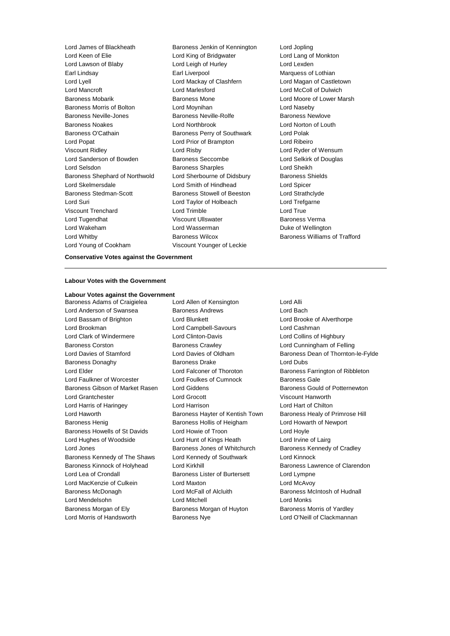Lord James of Blackheath Baroness Jenkin of Kennington Lord Jopling Lord Keen of Elie Lord King of Bridgwater Lord Lang of Monkton Lord Lawson of Blaby Lord Leigh of Hurley Lord Lexden Earl Lindsay **Earl Liverpool** Earl Liverpool Marquess of Lothian Lord Lyell Lord Mackay of Clashfern Lord Magan of Castletown Lord Mancroft Lord Marlesford Lord McColl of Dulwich Baroness Mobarik Baroness Mone Lord Moore of Lower Marsh Baroness Morris of Bolton Lord Moynihan Lord Naseby Baroness Neville-Jones Baroness Neville-Rolfe Baroness Newlove Baroness Noakes Lord Northbrook Lord Norton of Louth Baroness O'Cathain Baroness Perry of Southwark Lord Polak Lord Popat Lord Prior of Brampton Lord Ribeiro Viscount Ridley Lord Risby Lord Ryder of Wensum Lord Sanderson of Bowden Baroness Seccombe Lord Selkirk of Douglas Lord Selsdon Baroness Sharples Lord Sheikh Baroness Shephard of Northwold Lord Sherbourne of Didsbury Baroness Shields Lord Skelmersdale Lord Smith of Hindhead Lord Spicer Baroness Stedman-Scott **Baroness Stowell of Beeston** Lord Strathclyde Lord Suri Lord Taylor of Holbeach Lord Trefgarne Viscount Trenchard **Lord Trimble** Lord True Lord Tugendhat **National Execution Control Viscount Ullswater Baroness Verma** Lord Wakeham **Lord Wasserman** Duke of Wellington Lord Whitby **Baroness Wilcox** Baroness Wilcox **Baroness Williams of Trafford** Lord Young of Cookham Viscount Younger of Leckie

### **Conservative Votes against the Government**

### **Labour Votes with the Government**

**Labour Votes against the Government** Baroness Adams of Craigielea Lord Allen of Kensington Lord Alli Lord Anderson of Swansea **Baroness Andrews** Baroness Andrews Lord Bassam of Brighton Lord Blunkett Lord Brooke of Alverthorpe Lord Brookman Lord Campbell-Savours Lord Cashman Lord Clark of Windermere Lord Clinton-Davis Lord Collins of Highbury Baroness Corston Baroness Crawley Lord Cunningham of Felling Baroness Donaghy **Baroness Drake** Lord Dubs Lord Elder **Lord Falconer of Thoroton** Baroness Farrington of Ribbleton Lord Faulkner of Worcester Lord Foulkes of Cumnock Baroness Gale Baroness Gibson of Market Rasen Lord Giddens **Baroness Gould of Potternewton** Lord Grantchester Lord Grocott Viscount Hanworth Lord Harris of Haringey Lord Harrison Lord Hart of Chilton Lord Haworth **Baroness Hayter of Kentish Town** Baroness Healy of Primrose Hill Baroness Henig **Baroness Hollis of Heigham** Lord Howarth of Newport Baroness Howells of St Davids Lord Howie of Troon Lord Hoyle Lord Hughes of Woodside Lord Hunt of Kings Heath Lord Irvine of Lairg Lord Jones **Baroness Jones of Whitchurch** Baroness Kennedy of Cradley Baroness Kennedy of The Shaws Lord Kennedy of Southwark Lord Kinnock Baroness Kinnock of Holyhead Lord Kirkhill Lord Baroness Lawrence of Clarendon Lord Lea of Crondall **Baroness Lister of Burtersett** Lord Lympne Lord MacKenzie of Culkein Lord Maxton Lord McAvoy Baroness McDonagh Lord McFall of Alcluith Baroness McIntosh of Hudnall Lord Mendelsohn Lord Mitchell Lord Monks Baroness Morgan of Ely **Baroness Morgan of Huyton** Baroness Morris of Yardley

Lord Morris of Handsworth **Baroness Nye Baroness Nye Lord O'Neill of Clackmannan** 

Lord Davies of Stamford **Lord Davies of Oldham** Baroness Dean of Thornton-le-Fylde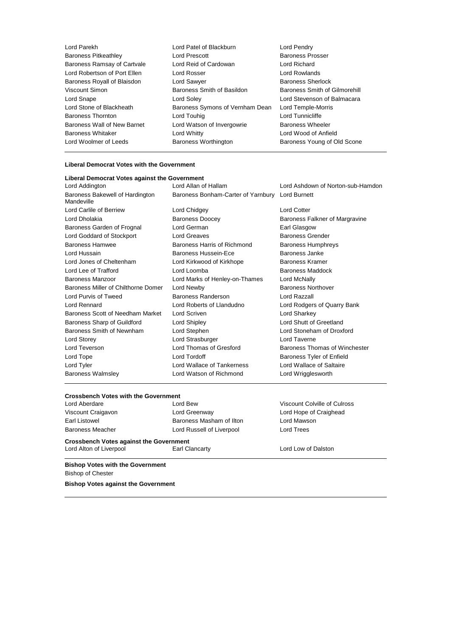Lord Parekh Lord Patel of Blackburn Lord Pendry Baroness Pitkeathley **Lord Prescott** Lord Prescott **Baroness Pross**<br>Baroness Ramsay of Cartyale Lord Reid of Cardowan Lord Richard Baroness Ramsay of Cartvale Lord Robertson of Port Ellen Lord Rosser Lord Rowlands Baroness Royall of Blaisdon **Lord Sawyer Baroness Sherlock** Viscount Simon Baroness Smith of Basildon Baroness Smith of Gilmorehill Lord Snape Lord Soley Lord Stevenson of Balmacara Lord Stone of Blackheath Baroness Symons of Vernham Dean Lord Temple-Morris Baroness Thornton **Lord Touhig** Lord Tunnicliffe Lord Tunnicliffe Baroness Wall of New Barnet Lord Watson of Invergowrie Baroness Wheeler Baroness Whitaker Lord Whitty Lord Wood of Anfield Lord Woolmer of Leeds **Baroness Worthington** Baroness Young of Old Scone

## **Liberal Democrat Votes with the Government**

| Liberal Democrat Votes against the Government |                                                 |                                   |
|-----------------------------------------------|-------------------------------------------------|-----------------------------------|
| Lord Addington                                | Lord Allan of Hallam                            | Lord Ashdown of Norton-sub-Hamdon |
| Baroness Bakewell of Hardington<br>Mandeville | Baroness Bonham-Carter of Yarnbury Lord Burnett |                                   |
| Lord Carlile of Berriew                       | Lord Chidgey                                    | <b>Lord Cotter</b>                |
| Lord Dholakia                                 | <b>Baroness Doocey</b>                          | Baroness Falkner of Margravine    |
| Baroness Garden of Frognal                    | Lord German                                     | Earl Glasgow                      |
| Lord Goddard of Stockport                     | <b>Lord Greaves</b>                             | <b>Baroness Grender</b>           |
| <b>Baroness Hamwee</b>                        | Baroness Harris of Richmond                     | <b>Baroness Humphreys</b>         |
| Lord Hussain                                  | Baroness Hussein-Ece                            | Baroness Janke                    |
| Lord Jones of Cheltenham                      | Lord Kirkwood of Kirkhope                       | Baroness Kramer                   |
| Lord Lee of Trafford                          | Lord Loomba                                     | <b>Baroness Maddock</b>           |
| Baroness Manzoor                              | Lord Marks of Henley-on-Thames                  | Lord McNally                      |
| Baroness Miller of Chilthorne Domer           | Lord Newby                                      | <b>Baroness Northover</b>         |
| Lord Purvis of Tweed                          | Baroness Randerson                              | Lord Razzall                      |
| Lord Rennard                                  | Lord Roberts of Llandudno                       | Lord Rodgers of Quarry Bank       |
| Baroness Scott of Needham Market              | Lord Scriven                                    | Lord Sharkey                      |
| Baroness Sharp of Guildford                   | Lord Shipley                                    | Lord Shutt of Greetland           |
| Baroness Smith of Newnham                     | Lord Stephen                                    | Lord Stoneham of Droxford         |
| Lord Storey                                   | Lord Strasburger                                | Lord Taverne                      |
| Lord Teverson                                 | Lord Thomas of Gresford                         | Baroness Thomas of Winchester     |
| Lord Tope                                     | Lord Tordoff                                    | Baroness Tyler of Enfield         |
| Lord Tyler                                    | Lord Wallace of Tankerness                      | Lord Wallace of Saltaire          |
| <b>Baroness Walmsley</b>                      | Lord Watson of Richmond                         | Lord Wrigglesworth                |

### **Crossbench Votes with the Government**

| Lord Aberdare      | Lord Bew                  | Viscount Co       |
|--------------------|---------------------------|-------------------|
| Viscount Craigavon | Lord Greenway             | Lord Hope         |
| Earl Listowel      | Baroness Masham of Ilton  | Lord Maws         |
| Baroness Meacher   | Lord Russell of Liverpool | <b>Lord Trees</b> |

Viscount Colville of Culross Lord Hope of Craighead Lord Mawson

**Crossbench Votes against the Government** Lord Alton of Liverpool **Earl Clancarty Earl Clancarty** Lord Low of Dalston

**Bishop Votes with the Government** Bishop of Chester

**Bishop Votes against the Government**